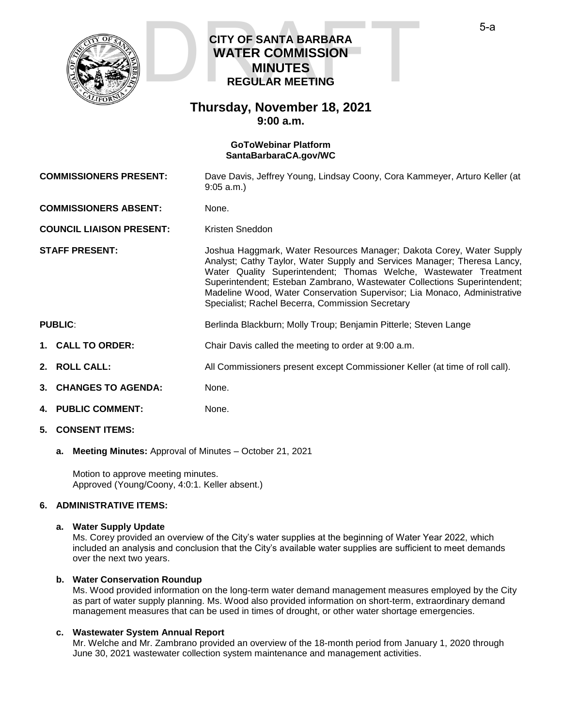

## **CITY OF SANTA BARBARA WATER COMMISSION MINUTES REGULAR MEETING CITY OF SANTA BARBARA<br>WATER COMMISSION<br>MINUTES<br>REGULAR MEETING**

### **Thursday, November 18, 2021 9:00 a.m.**

#### **GoToWebinar Platform [SantaBarbaraCA.gov/WC](https://www.santabarbaraca.gov/gov/brdcomm/nz/water/agendas.asp)**

**COMMISSIONERS PRESENT:** Dave Davis, Jeffrey Young, Lindsay Coony, Cora Kammeyer, Arturo Keller (at

|                                 | $9:05$ a.m.)                                                                                                                                                                                                                                                                                                                                                                                                                      |
|---------------------------------|-----------------------------------------------------------------------------------------------------------------------------------------------------------------------------------------------------------------------------------------------------------------------------------------------------------------------------------------------------------------------------------------------------------------------------------|
| <b>COMMISSIONERS ABSENT:</b>    | None.                                                                                                                                                                                                                                                                                                                                                                                                                             |
| <b>COUNCIL LIAISON PRESENT:</b> | Kristen Sneddon                                                                                                                                                                                                                                                                                                                                                                                                                   |
| <b>STAFF PRESENT:</b>           | Joshua Haggmark, Water Resources Manager; Dakota Corey, Water Supply<br>Analyst; Cathy Taylor, Water Supply and Services Manager; Theresa Lancy,<br>Water Quality Superintendent; Thomas Welche, Wastewater Treatment<br>Superintendent; Esteban Zambrano, Wastewater Collections Superintendent;<br>Madeline Wood, Water Conservation Supervisor; Lia Monaco, Administrative<br>Specialist; Rachel Becerra, Commission Secretary |
| <b>PUBLIC:</b>                  | Berlinda Blackburn; Molly Troup; Benjamin Pitterle; Steven Lange                                                                                                                                                                                                                                                                                                                                                                  |
| 1. CALL TO ORDER:               | Chair Davis called the meeting to order at 9:00 a.m.                                                                                                                                                                                                                                                                                                                                                                              |
|                                 |                                                                                                                                                                                                                                                                                                                                                                                                                                   |

- **2. ROLL CALL:** All Commissioners present except Commissioner Keller (at time of roll call).
- **3. CHANGES TO AGENDA:** None.
- **4. PUBLIC COMMENT:** None.
- **5. CONSENT ITEMS:**
	- **a. Meeting Minutes:** Approval of Minutes October 21, 2021

Motion to approve meeting minutes. Approved (Young/Coony, 4:0:1. Keller absent.)

#### **6. ADMINISTRATIVE ITEMS:**

#### **a. Water Supply Update**

Ms. Corey provided an overview of the City's water supplies at the beginning of Water Year 2022, which included an analysis and conclusion that the City's available water supplies are sufficient to meet demands over the next two years.

#### **b. Water Conservation Roundup**

Ms. Wood provided information on the long-term water demand management measures employed by the City as part of water supply planning. Ms. Wood also provided information on short-term, extraordinary demand management measures that can be used in times of drought, or other water shortage emergencies.

#### **c. Wastewater System Annual Report**

Mr. Welche and Mr. Zambrano provided an overview of the 18-month period from January 1, 2020 through June 30, 2021 wastewater collection system maintenance and management activities.